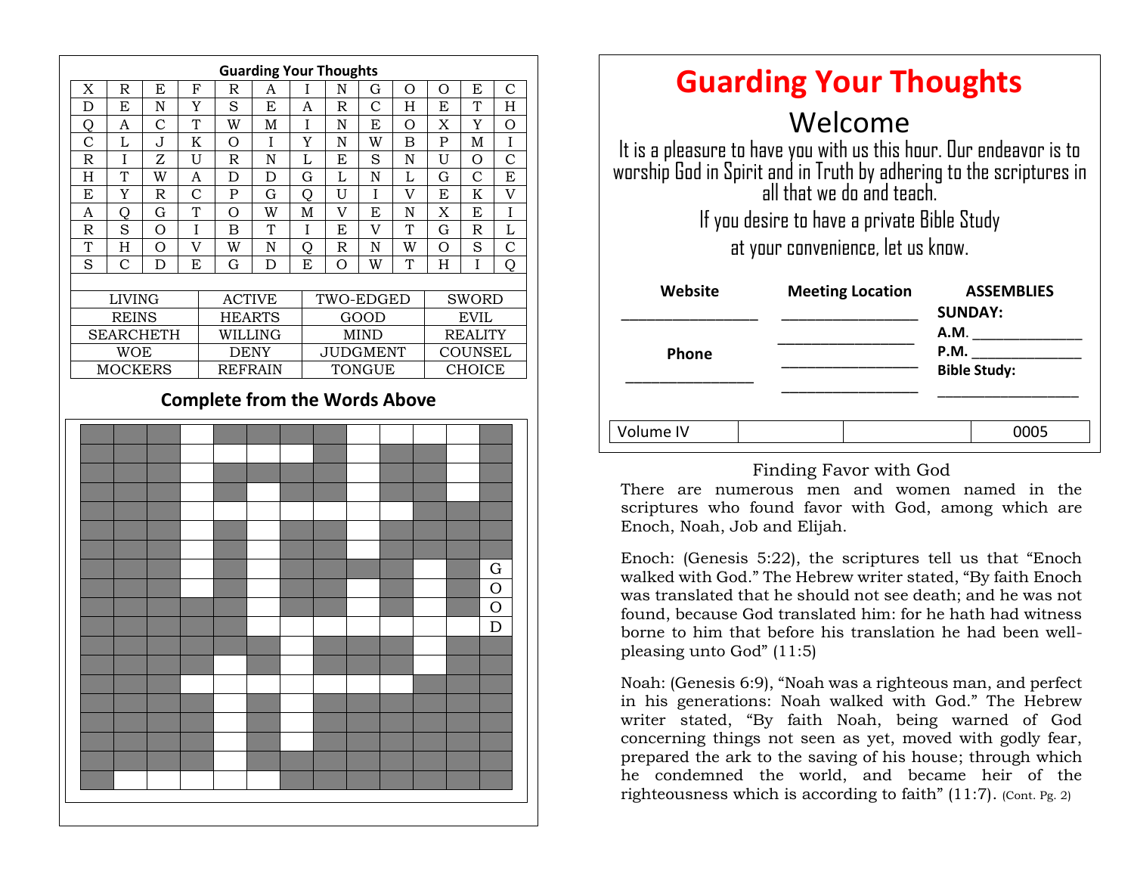|                                      | <b>Guarding Your Thoughts</b> |                |                    |                |             |               |                 |                |                |                |               |                |
|--------------------------------------|-------------------------------|----------------|--------------------|----------------|-------------|---------------|-----------------|----------------|----------------|----------------|---------------|----------------|
| X                                    | $\mathbb R$                   | E              | $\mathbf F$        | $\mathbb R$    | A           | $\mathbf I$   | ${\bf N}$       | $\mathbf G$    | O              | $\mathcal{O}$  | E             | $\mathcal{C}$  |
| D                                    | E                             | $\mathbf N$    | Y                  | S              | E           | A             | $\mathbb{R}$    | $\overline{C}$ | H              | E              | T             | H              |
| Q                                    | A                             | $\mathcal{C}$  | T                  | W              | M           | I             | ${\bf N}$       | E              | $\circ$        | X              | Y             | O              |
| $\overline{C}$                       | L                             | J              | $\mathbf K$        | $\overline{O}$ | I           | Y             | ${\bf N}$       | W              | $\mathbf B$    | $\overline{P}$ | M             | $\rm I$        |
| $\mathbb R$                          | I                             | Z              | U                  | $\mathbb{R}$   | N           | L             | E               | S              | N              | U              | $\mathcal{O}$ | $\overline{C}$ |
| H                                    | T                             | W              | A                  | $\mathbf D$    | $\mathbf D$ | $\mathbf G$   | L               | N              | $\overline{L}$ | G              | C             | E              |
| E                                    | Y                             | $\mathbb R$    | $\overline{C}$     | ${\bf P}$      | $\mathbf G$ | Q             | $\overline{U}$  | I              | $\overline{V}$ | ${\bf E}$      | $\rm K$       | $\overline{V}$ |
| A                                    | Q                             | G              | $\overline{T}$     | $\mathcal{O}$  | W           | M             | $\overline{V}$  | E              | $\rm N$        | X              | E             | $\rm I$        |
| $\mathbb R$                          | S                             | $\overline{O}$ | I                  | B              | T           | I             | E               | V              | T              | $\mathbf G$    | $\mathbb R$   | L              |
| T                                    | H                             | O              | $\overline{\rm v}$ | W              | ${\bf N}$   | Q             | $\mathbb R$     | N              | W              | O              | S             | $\mathsf{C}$   |
| S                                    | $\overline{C}$                | D              | E                  | G              | D           | E             | O               | W              | T              | H              | I             | $\overline{O}$ |
|                                      |                               |                |                    |                |             |               |                 |                |                |                |               |                |
|                                      | <b>LIVING</b>                 |                |                    | <b>ACTIVE</b>  |             |               | TWO-EDGED       |                |                | <b>SWORD</b>   |               |                |
|                                      | <b>REINS</b>                  |                |                    | <b>HEARTS</b>  |             | GOOD          |                 |                | <b>EVIL</b>    |                |               |                |
|                                      | <b>SEARCHETH</b>              |                |                    | WILLING        |             |               | <b>MIND</b>     |                |                | <b>REALITY</b> |               |                |
|                                      | <b>WOE</b>                    |                |                    | <b>DENY</b>    |             |               | <b>JUDGMENT</b> |                |                | <b>COUNSEL</b> |               |                |
|                                      | <b>MOCKERS</b>                |                |                    | <b>REFRAIN</b> |             | <b>TONGUE</b> |                 |                | <b>CHOICE</b>  |                |               |                |
| <b>Complete from the Words Above</b> |                               |                |                    |                |             |               |                 |                |                |                |               |                |
|                                      |                               |                |                    |                |             |               |                 |                |                |                |               |                |
|                                      |                               |                |                    |                |             |               |                 |                |                |                |               |                |
|                                      |                               |                |                    |                |             |               |                 |                |                |                |               |                |
|                                      |                               |                |                    |                |             |               |                 |                |                |                |               |                |
|                                      |                               |                |                    |                |             |               |                 |                |                |                |               |                |
|                                      |                               |                |                    |                |             |               |                 |                |                |                |               |                |
|                                      |                               |                |                    |                |             |               |                 |                |                |                |               |                |
|                                      |                               |                |                    |                |             |               |                 |                |                |                |               | G              |
|                                      |                               |                |                    |                |             |               |                 |                |                |                |               | O              |
|                                      |                               |                |                    |                |             |               |                 |                |                |                |               | O              |
|                                      |                               |                |                    |                |             |               |                 |                |                |                |               | D              |
|                                      |                               |                |                    |                |             |               |                 |                |                |                |               |                |
|                                      |                               |                |                    |                |             |               |                 |                |                |                |               |                |
|                                      |                               |                |                    |                |             |               |                 |                |                |                |               |                |
|                                      |                               |                |                    |                |             |               |                 |                |                |                |               |                |
|                                      |                               |                |                    |                |             |               |                 |                |                |                |               |                |
|                                      |                               |                |                    |                |             |               |                 |                |                |                |               |                |
|                                      |                               |                |                    |                |             |               |                 |                |                |                |               |                |
|                                      |                               |                |                    |                |             |               |                 |                |                |                |               |                |
|                                      |                               |                |                    |                |             |               |                 |                |                |                |               |                |
|                                      |                               |                |                    |                |             |               |                 |                |                |                |               |                |
|                                      |                               |                |                    |                |             |               |                 |                |                |                |               |                |

| <b>Guarding Your Thoughts</b>                                                                                                                                          |                         |                                     |  |  |  |  |  |  |  |
|------------------------------------------------------------------------------------------------------------------------------------------------------------------------|-------------------------|-------------------------------------|--|--|--|--|--|--|--|
| Welcome                                                                                                                                                                |                         |                                     |  |  |  |  |  |  |  |
| It is a pleasure to have you with us this hour. Our endeavor is to<br>worship God in Spirit and in Truth by adhering to the scriptures in<br>all that we do and teach. |                         |                                     |  |  |  |  |  |  |  |
| If you desire to have a private Bible Study                                                                                                                            |                         |                                     |  |  |  |  |  |  |  |
| at your convenience, let us know.                                                                                                                                      |                         |                                     |  |  |  |  |  |  |  |
| Website                                                                                                                                                                | <b>Meeting Location</b> | <b>ASSEMBLIES</b><br><b>SUNDAY:</b> |  |  |  |  |  |  |  |
|                                                                                                                                                                        |                         | A.M.                                |  |  |  |  |  |  |  |
| Phone                                                                                                                                                                  |                         | P.M.<br><b>Bible Study:</b>         |  |  |  |  |  |  |  |
|                                                                                                                                                                        |                         |                                     |  |  |  |  |  |  |  |
| 'olume IV                                                                                                                                                              |                         |                                     |  |  |  |  |  |  |  |

### Finding Favor with God

There are numerous men and women named in the scriptures who found favor with God, among which are Enoch, Noah, Job and Elijah.

Enoch: (Genesis 5:22), the scriptures tell us that "Enoch" walked with God." The Hebrew writer stated, "By faith Enoch was translated that he should not see death; and he was not found, because God translated him: for he hath had witness borne to him that before his translation he had been wellpleasing unto God" (11:5)

Noah: (Genesis 6:9), "Noah was a righteous man, and perfect in his generations: Noah walked with God." The Hebrew writer stated, "By faith Noah, being warned of God concerning things not seen as yet, moved with godly fear, prepared the ark to the saving of his house; through which he condemned the world, and became heir of the righteousness which is according to faith" (11:7). (Cont. Pg. 2)